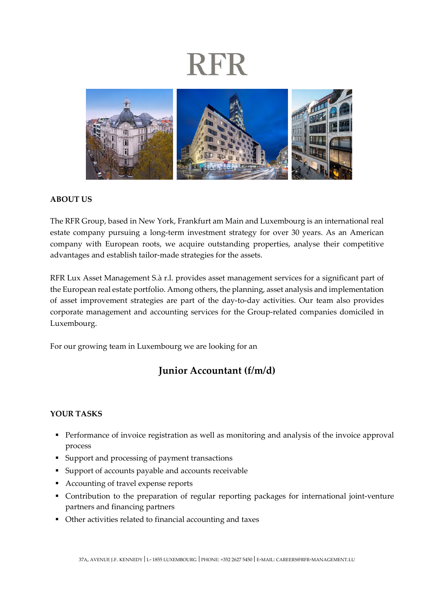## **RFR**



#### **ABOUT US**

The RFR Group, based in New York, Frankfurt am Main and Luxembourg is an international real estate company pursuing a long-term investment strategy for over 30 years. As an American company with European roots, we acquire outstanding properties, analyse their competitive advantages and establish tailor-made strategies for the assets.

RFR Lux Asset Management S.à r.l. provides asset management services for a significant part of the European real estate portfolio. Among others, the planning, asset analysis and implementation of asset improvement strategies are part of the day-to-day activities. Our team also provides corporate management and accounting services for the Group-related companies domiciled in Luxembourg.

For our growing team in Luxembourg we are looking for an

### **Junior Accountant (f/m/d)**

#### **YOUR TASKS**

- **Performance of invoice registration as well as monitoring and analysis of the invoice approval** process
- Support and processing of payment transactions
- Support of accounts payable and accounts receivable
- Accounting of travel expense reports
- Contribution to the preparation of regular reporting packages for international joint-venture partners and financing partners
- Other activities related to financial accounting and taxes